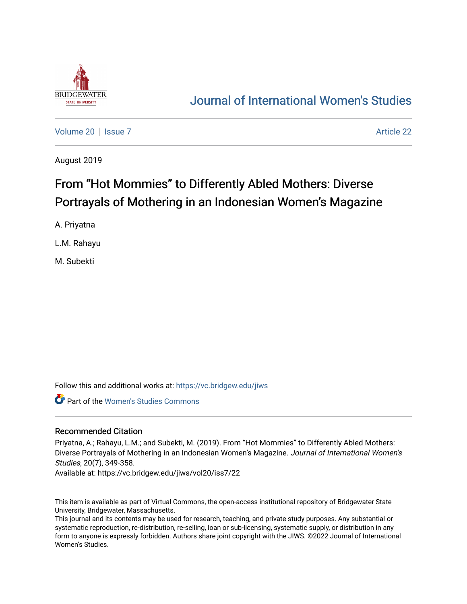

# [Journal of International Women's Studies](https://vc.bridgew.edu/jiws)

[Volume 20](https://vc.bridgew.edu/jiws/vol20) | [Issue 7](https://vc.bridgew.edu/jiws/vol20/iss7) Article 22

August 2019

# From "Hot Mommies" to Differently Abled Mothers: Diverse Portrayals of Mothering in an Indonesian Women's Magazine

A. Priyatna

L.M. Rahayu

M. Subekti

Follow this and additional works at: [https://vc.bridgew.edu/jiws](https://vc.bridgew.edu/jiws?utm_source=vc.bridgew.edu%2Fjiws%2Fvol20%2Fiss7%2F22&utm_medium=PDF&utm_campaign=PDFCoverPages)

Part of the [Women's Studies Commons](http://network.bepress.com/hgg/discipline/561?utm_source=vc.bridgew.edu%2Fjiws%2Fvol20%2Fiss7%2F22&utm_medium=PDF&utm_campaign=PDFCoverPages) 

#### Recommended Citation

Priyatna, A.; Rahayu, L.M.; and Subekti, M. (2019). From "Hot Mommies" to Differently Abled Mothers: Diverse Portrayals of Mothering in an Indonesian Women's Magazine. Journal of International Women's Studies, 20(7), 349-358.

Available at: https://vc.bridgew.edu/jiws/vol20/iss7/22

This item is available as part of Virtual Commons, the open-access institutional repository of Bridgewater State University, Bridgewater, Massachusetts.

This journal and its contents may be used for research, teaching, and private study purposes. Any substantial or systematic reproduction, re-distribution, re-selling, loan or sub-licensing, systematic supply, or distribution in any form to anyone is expressly forbidden. Authors share joint copyright with the JIWS. ©2022 Journal of International Women's Studies.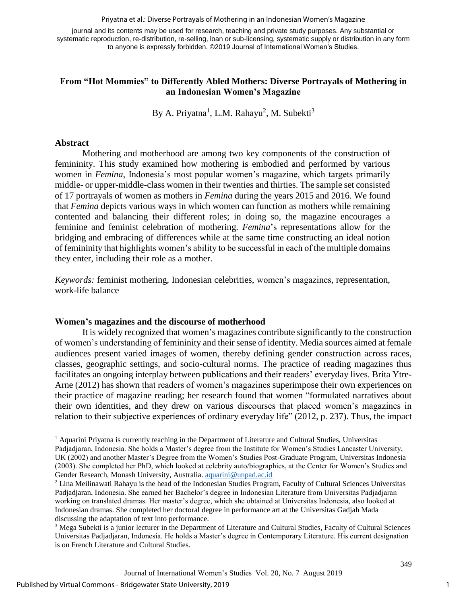Priyatna et al.: Diverse Portrayals of Mothering in an Indonesian Women's Magazine

journal and its contents may be used for research, teaching and private study purposes. Any substantial or systematic reproduction, re-distribution, re-selling, loan or sub-licensing, systematic supply or distribution in any form to anyone is expressly forbidden. ©2019 Journal of International Women's Studies.

# **From "Hot Mommies" to Differently Abled Mothers: Diverse Portrayals of Mothering in an Indonesian Women's Magazine**

By A. Priyatna<sup>1</sup>, L.M. Rahayu<sup>2</sup>, M. Subekti<sup>3</sup>

### **Abstract**

 $\overline{a}$ 

Mothering and motherhood are among two key components of the construction of femininity. This study examined how mothering is embodied and performed by various women in *Femina*, Indonesia's most popular women's magazine, which targets primarily middle- or upper-middle-class women in their twenties and thirties. The sample set consisted of 17 portrayals of women as mothers in *Femina* during the years 2015 and 2016. We found that *Femina* depicts various ways in which women can function as mothers while remaining contented and balancing their different roles; in doing so, the magazine encourages a feminine and feminist celebration of mothering. *Femina*'s representations allow for the bridging and embracing of differences while at the same time constructing an ideal notion of femininity that highlights women's ability to be successful in each of the multiple domains they enter, including their role as a mother.

*Keywords:* feminist mothering, Indonesian celebrities, women's magazines, representation, work-life balance

#### **Women's magazines and the discourse of motherhood**

It is widely recognized that women's magazines contribute significantly to the construction of women's understanding of femininity and their sense of identity. Media sources aimed at female audiences present varied images of women, thereby defining gender construction across races, classes, geographic settings, and socio-cultural norms. The practice of reading magazines thus facilitates an ongoing interplay between publications and their readers' everyday lives. Brita Ytre-Arne (2012) has shown that readers of women's magazines superimpose their own experiences on their practice of magazine reading; her research found that women "formulated narratives about their own identities, and they drew on various discourses that placed women's magazines in relation to their subjective experiences of ordinary everyday life" (2012, p. 237). Thus, the impact

1

<sup>1</sup> Aquarini Priyatna is currently teaching in the Department of Literature and Cultural Studies, Universitas Padjadjaran, Indonesia. She holds a Master's degree from the Institute for Women's Studies Lancaster University, UK (2002) and another Master's Degree from the Women's Studies Post-Graduate Program, Universitas Indonesia (2003). She completed her PhD, which looked at celebrity auto/biographies, at the Center for Women's Studies and Gender Research, Monash University, Australia. [aquarini@unpad.ac.id](mailto:aquarini@unpad.ac.id)

<sup>&</sup>lt;sup>2</sup> Lina Meilinawati Rahayu is the head of the Indonesian Studies Program, Faculty of Cultural Sciences Universitas Padjadjaran, Indonesia. She earned her Bachelor's degree in Indonesian Literature from Universitas Padjadjaran working on translated dramas. Her master's degree, which she obtained at Universitas Indonesia, also looked at Indonesian dramas. She completed her doctoral degree in performance art at the Universitas Gadjah Mada discussing the adaptation of text into performance.

<sup>3</sup> Mega Subekti is a junior lecturer in the Department of Literature and Cultural Studies, Faculty of Cultural Sciences Universitas Padjadjaran, Indonesia. He holds a Master's degree in Contemporary Literature. His current designation is on French Literature and Cultural Studies.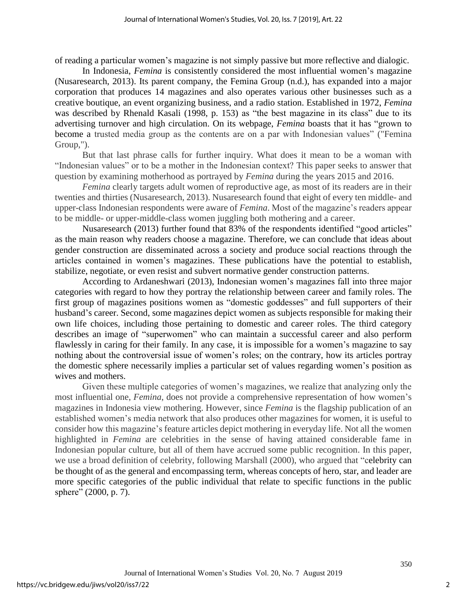of reading a particular women's magazine is not simply passive but more reflective and dialogic.

In Indonesia, *Femina* is consistently considered the most influential women's magazine (Nusaresearch, 2013). Its parent company, the Femina Group (n.d.), has expanded into a major corporation that produces 14 magazines and also operates various other businesses such as a creative boutique, an event organizing business, and a radio station. Established in 1972, *Femina* was described by Rhenald Kasali (1998, p. 153) as "the best magazine in its class" due to its advertising turnover and high circulation. On its webpage, *Femina* boasts that it has "grown to become a trusted media group as the contents are on a par with Indonesian values" ("Femina Group,").

But that last phrase calls for further inquiry. What does it mean to be a woman with "Indonesian values" or to be a mother in the Indonesian context? This paper seeks to answer that question by examining motherhood as portrayed by *Femina* during the years 2015 and 2016.

*Femina* clearly targets adult women of reproductive age, as most of its readers are in their twenties and thirties (Nusaresearch, 2013). Nusaresearch found that eight of every ten middle- and upper-class Indonesian respondents were aware of *Femina*. Most of the magazine's readers appear to be middle- or upper-middle-class women juggling both mothering and a career.

Nusaresearch (2013) further found that 83% of the respondents identified "good articles" as the main reason why readers choose a magazine. Therefore, we can conclude that ideas about gender construction are disseminated across a society and produce social reactions through the articles contained in women's magazines. These publications have the potential to establish, stabilize, negotiate, or even resist and subvert normative gender construction patterns.

According to Ardaneshwari (2013), Indonesian women's magazines fall into three major categories with regard to how they portray the relationship between career and family roles. The first group of magazines positions women as "domestic goddesses" and full supporters of their husband's career. Second, some magazines depict women as subjects responsible for making their own life choices, including those pertaining to domestic and career roles. The third category describes an image of "superwomen" who can maintain a successful career and also perform flawlessly in caring for their family. In any case, it is impossible for a women's magazine to say nothing about the controversial issue of women's roles; on the contrary, how its articles portray the domestic sphere necessarily implies a particular set of values regarding women's position as wives and mothers.

Given these multiple categories of women's magazines, we realize that analyzing only the most influential one, *Femina*, does not provide a comprehensive representation of how women's magazines in Indonesia view mothering. However, since *Femina* is the flagship publication of an established women's media network that also produces other magazines for women, it is useful to consider how this magazine's feature articles depict mothering in everyday life. Not all the women highlighted in *Femina* are celebrities in the sense of having attained considerable fame in Indonesian popular culture, but all of them have accrued some public recognition. In this paper, we use a broad definition of celebrity, following Marshall (2000), who argued that "celebrity can be thought of as the general and encompassing term, whereas concepts of hero, star, and leader are more specific categories of the public individual that relate to specific functions in the public sphere" (2000, p. 7).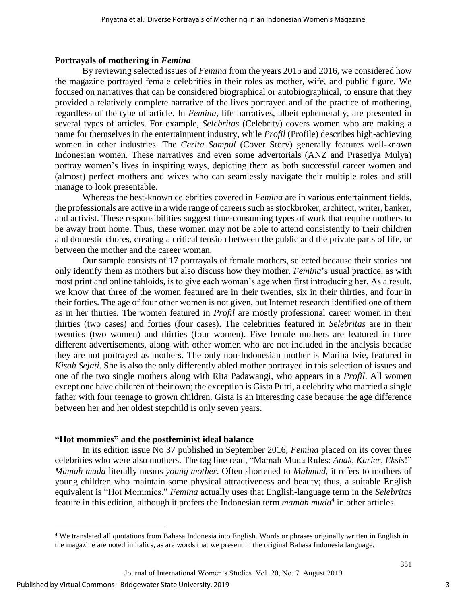#### **Portrayals of mothering in** *Femina*

By reviewing selected issues of *Femina* from the years 2015 and 2016, we considered how the magazine portrayed female celebrities in their roles as mother, wife, and public figure. We focused on narratives that can be considered biographical or autobiographical, to ensure that they provided a relatively complete narrative of the lives portrayed and of the practice of mothering, regardless of the type of article. In *Femina*, life narratives, albeit ephemerally, are presented in several types of articles. For example, *Selebritas* (Celebrity) covers women who are making a name for themselves in the entertainment industry, while *Profil* (Profile) describes high-achieving women in other industries. The *Cerita Sampul* (Cover Story) generally features well-known Indonesian women. These narratives and even some advertorials (ANZ and Prasetiya Mulya) portray women's lives in inspiring ways, depicting them as both successful career women and (almost) perfect mothers and wives who can seamlessly navigate their multiple roles and still manage to look presentable.

Whereas the best-known celebrities covered in *Femina* are in various entertainment fields, the professionals are active in a wide range of careers such as stockbroker, architect, writer, banker, and activist. These responsibilities suggest time-consuming types of work that require mothers to be away from home. Thus, these women may not be able to attend consistently to their children and domestic chores, creating a critical tension between the public and the private parts of life, or between the mother and the career woman.

Our sample consists of 17 portrayals of female mothers, selected because their stories not only identify them as mothers but also discuss how they mother. *Femina*'s usual practice, as with most print and online tabloids, is to give each woman's age when first introducing her. As a result, we know that three of the women featured are in their twenties, six in their thirties, and four in their forties. The age of four other women is not given, but Internet research identified one of them as in her thirties. The women featured in *Profil* are mostly professional career women in their thirties (two cases) and forties (four cases). The celebrities featured in *Selebritas* are in their twenties (two women) and thirties (four women). Five female mothers are featured in three different advertisements, along with other women who are not included in the analysis because they are not portrayed as mothers. The only non-Indonesian mother is Marina Ivie, featured in *Kisah Sejati*. She is also the only differently abled mother portrayed in this selection of issues and one of the two single mothers along with Rita Padawangi, who appears in a *Profil*. All women except one have children of their own; the exception is Gista Putri, a celebrity who married a single father with four teenage to grown children. Gista is an interesting case because the age difference between her and her oldest stepchild is only seven years.

#### **"Hot mommies" and the postfeminist ideal balance**

In its edition issue No 37 published in September 2016, *Femina* placed on its cover three celebrities who were also mothers. The tag line read, "Mamah Muda Rules: *Anak, Karier, Eksis*!" *Mamah muda* literally means *young mother*. Often shortened to *Mahmud*, it refers to mothers of young children who maintain some physical attractiveness and beauty; thus, a suitable English equivalent is "Hot Mommies." *Femina* actually uses that English-language term in the *Selebritas*  feature in this edition, although it prefers the Indonesian term *mamah muda<sup>4</sup>* in other articles.

 $\overline{a}$ 

<sup>4</sup> We translated all quotations from Bahasa Indonesia into English. Words or phrases originally written in English in the magazine are noted in italics, as are words that we present in the original Bahasa Indonesia language.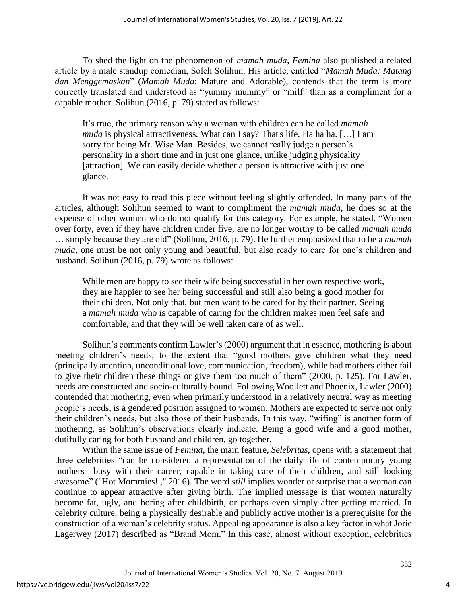To shed the light on the phenomenon of *mamah muda*, *Femina* also published a related article by a male standup comedian, Soleh Solihun. His article, entitled "*Mamah Muda: Matang dan Menggemaskan*" (*Mamah Muda*: Mature and Adorable), contends that the term is more correctly translated and understood as "yummy mummy" or "milf" than as a compliment for a capable mother. Solihun (2016, p. 79) stated as follows:

It's true, the primary reason why a woman with children can be called *mamah muda* is physical attractiveness. What can I say? That's life. Ha ha ha. […] I am sorry for being Mr. Wise Man. Besides, we cannot really judge a person's personality in a short time and in just one glance, unlike judging physicality [attraction]. We can easily decide whether a person is attractive with just one glance.

It was not easy to read this piece without feeling slightly offended. In many parts of the articles, although Solihun seemed to want to compliment the *mamah muda*, he does so at the expense of other women who do not qualify for this category. For example, he stated, "Women over forty, even if they have children under five, are no longer worthy to be called *mamah muda* … simply because they are old" (Solihun, 2016, p. 79). He further emphasized that to be a *mamah muda*, one must be not only young and beautiful, but also ready to care for one's children and husband. Solihun (2016, p. 79) wrote as follows:

While men are happy to see their wife being successful in her own respective work, they are happier to see her being successful and still also being a good mother for their children. Not only that, but men want to be cared for by their partner. Seeing a *mamah muda* who is capable of caring for the children makes men feel safe and comfortable, and that they will be well taken care of as well.

Solihun's comments confirm Lawler's (2000) argument that in essence, mothering is about meeting children's needs, to the extent that "good mothers give children what they need (principally attention, unconditional love, communication, freedom), while bad mothers either fail to give their children these things or give them too much of them" (2000, p. 125). For Lawler, needs are constructed and socio-culturally bound. Following Woollett and Phoenix, Lawler (2000) contended that mothering, even when primarily understood in a relatively neutral way as meeting people's needs, is a gendered position assigned to women. Mothers are expected to serve not only their children's needs, but also those of their husbands. In this way, "wifing" is another form of mothering, as Solihun's observations clearly indicate. Being a good wife and a good mother, dutifully caring for both husband and children, go together.

Within the same issue of *Femina*, the main feature, *Selebritas*, opens with a statement that three celebrities "can be considered a representation of the daily life of contemporary young mothers—busy with their career, capable in taking care of their children, and still looking awesome" ("Hot Mommies! ," 2016). The word *still* implies wonder or surprise that a woman can continue to appear attractive after giving birth. The implied message is that women naturally become fat, ugly, and boring after childbirth, or perhaps even simply after getting married. In celebrity culture, being a physically desirable and publicly active mother is a prerequisite for the construction of a woman's celebrity status. Appealing appearance is also a key factor in what Jorie Lagerwey (2017) described as "Brand Mom." In this case, almost without exception, celebrities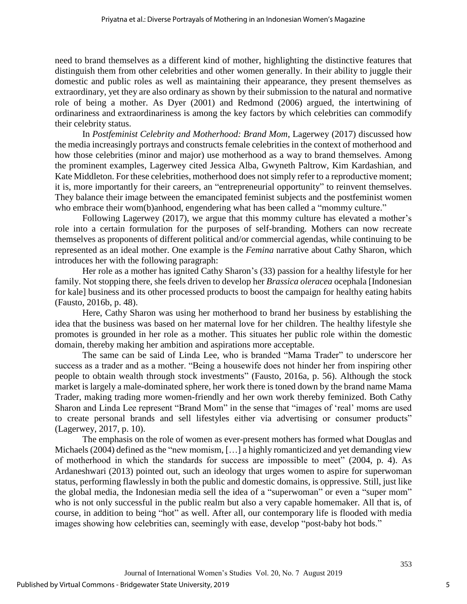need to brand themselves as a different kind of mother, highlighting the distinctive features that distinguish them from other celebrities and other women generally. In their ability to juggle their domestic and public roles as well as maintaining their appearance, they present themselves as extraordinary, yet they are also ordinary as shown by their submission to the natural and normative role of being a mother. As Dyer (2001) and Redmond (2006) argued, the intertwining of ordinariness and extraordinariness is among the key factors by which celebrities can commodify their celebrity status.

In *Postfeminist Celebrity and Motherhood: Brand Mom*, Lagerwey (2017) discussed how the media increasingly portrays and constructs female celebrities in the context of motherhood and how those celebrities (minor and major) use motherhood as a way to brand themselves. Among the prominent examples, Lagerwey cited Jessica Alba, Gwyneth Paltrow, Kim Kardashian, and Kate Middleton. For these celebrities, motherhood does not simply refer to a reproductive moment; it is, more importantly for their careers, an "entrepreneurial opportunity" to reinvent themselves. They balance their image between the emancipated feminist subjects and the postfeminist women who embrace their wom(b)anhood, engendering what has been called a "mommy culture."

Following Lagerwey (2017), we argue that this mommy culture has elevated a mother's role into a certain formulation for the purposes of self-branding. Mothers can now recreate themselves as proponents of different political and/or commercial agendas, while continuing to be represented as an ideal mother. One example is the *Femina* narrative about Cathy Sharon, which introduces her with the following paragraph:

Her role as a mother has ignited Cathy Sharon's (33) passion for a healthy lifestyle for her family. Not stopping there, she feels driven to develop her *Brassica oleracea* ocephala [Indonesian for kale] business and its other processed products to boost the campaign for healthy eating habits (Fausto, 2016b, p. 48).

Here, Cathy Sharon was using her motherhood to brand her business by establishing the idea that the business was based on her maternal love for her children. The healthy lifestyle she promotes is grounded in her role as a mother. This situates her public role within the domestic domain, thereby making her ambition and aspirations more acceptable.

The same can be said of Linda Lee, who is branded "Mama Trader" to underscore her success as a trader and as a mother. "Being a housewife does not hinder her from inspiring other people to obtain wealth through stock investments" (Fausto, 2016a, p. 56). Although the stock market is largely a male-dominated sphere, her work there is toned down by the brand name Mama Trader, making trading more women-friendly and her own work thereby feminized. Both Cathy Sharon and Linda Lee represent "Brand Mom" in the sense that "images of 'real' moms are used to create personal brands and sell lifestyles either via advertising or consumer products" (Lagerwey, 2017, p. 10).

The emphasis on the role of women as ever-present mothers has formed what Douglas and Michaels (2004) defined as the "new momism, [...] a highly romanticized and yet demanding view of motherhood in which the standards for success are impossible to meet" (2004, p. 4). As Ardaneshwari (2013) pointed out, such an ideology that urges women to aspire for superwoman status, performing flawlessly in both the public and domestic domains, is oppressive. Still, just like the global media, the Indonesian media sell the idea of a "superwoman" or even a "super mom" who is not only successful in the public realm but also a very capable homemaker. All that is, of course, in addition to being "hot" as well. After all, our contemporary life is flooded with media images showing how celebrities can, seemingly with ease, develop "post-baby hot bods."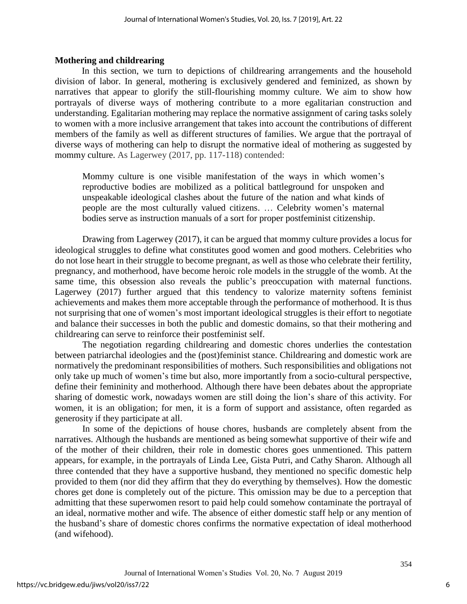#### **Mothering and childrearing**

In this section, we turn to depictions of childrearing arrangements and the household division of labor. In general, mothering is exclusively gendered and feminized, as shown by narratives that appear to glorify the still-flourishing mommy culture. We aim to show how portrayals of diverse ways of mothering contribute to a more egalitarian construction and understanding. Egalitarian mothering may replace the normative assignment of caring tasks solely to women with a more inclusive arrangement that takes into account the contributions of different members of the family as well as different structures of families. We argue that the portrayal of diverse ways of mothering can help to disrupt the normative ideal of mothering as suggested by mommy culture. As Lagerwey (2017, pp. 117-118) contended:

Mommy culture is one visible manifestation of the ways in which women's reproductive bodies are mobilized as a political battleground for unspoken and unspeakable ideological clashes about the future of the nation and what kinds of people are the most culturally valued citizens. … Celebrity women's maternal bodies serve as instruction manuals of a sort for proper postfeminist citizenship.

Drawing from Lagerwey (2017), it can be argued that mommy culture provides a locus for ideological struggles to define what constitutes good women and good mothers. Celebrities who do not lose heart in their struggle to become pregnant, as well as those who celebrate their fertility, pregnancy, and motherhood, have become heroic role models in the struggle of the womb. At the same time, this obsession also reveals the public's preoccupation with maternal functions. Lagerwey (2017) further argued that this tendency to valorize maternity softens feminist achievements and makes them more acceptable through the performance of motherhood. It is thus not surprising that one of women's most important ideological struggles is their effort to negotiate and balance their successes in both the public and domestic domains, so that their mothering and childrearing can serve to reinforce their postfeminist self.

The negotiation regarding childrearing and domestic chores underlies the contestation between patriarchal ideologies and the (post)feminist stance. Childrearing and domestic work are normatively the predominant responsibilities of mothers. Such responsibilities and obligations not only take up much of women's time but also, more importantly from a socio-cultural perspective, define their femininity and motherhood. Although there have been debates about the appropriate sharing of domestic work, nowadays women are still doing the lion's share of this activity. For women, it is an obligation; for men, it is a form of support and assistance, often regarded as generosity if they participate at all.

In some of the depictions of house chores, husbands are completely absent from the narratives. Although the husbands are mentioned as being somewhat supportive of their wife and of the mother of their children, their role in domestic chores goes unmentioned. This pattern appears, for example, in the portrayals of Linda Lee, Gista Putri, and Cathy Sharon. Although all three contended that they have a supportive husband, they mentioned no specific domestic help provided to them (nor did they affirm that they do everything by themselves). How the domestic chores get done is completely out of the picture. This omission may be due to a perception that admitting that these superwomen resort to paid help could somehow contaminate the portrayal of an ideal, normative mother and wife. The absence of either domestic staff help or any mention of the husband's share of domestic chores confirms the normative expectation of ideal motherhood (and wifehood).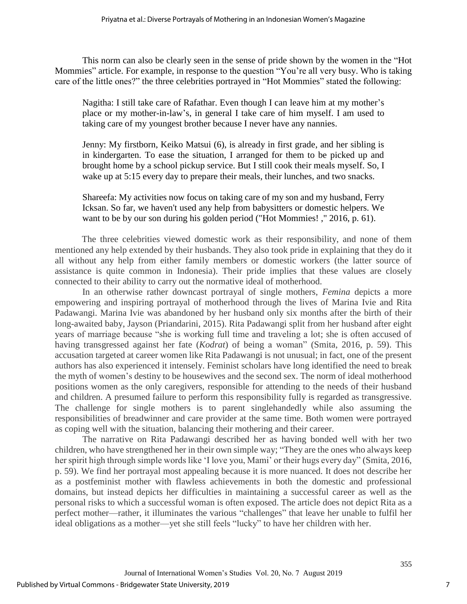This norm can also be clearly seen in the sense of pride shown by the women in the "Hot Mommies" article. For example, in response to the question "You're all very busy. Who is taking care of the little ones?" the three celebrities portrayed in "Hot Mommies" stated the following:

Nagitha: I still take care of Rafathar. Even though I can leave him at my mother's place or my mother-in-law's, in general I take care of him myself. I am used to taking care of my youngest brother because I never have any nannies.

Jenny: My firstborn, Keiko Matsui (6), is already in first grade, and her sibling is in kindergarten. To ease the situation, I arranged for them to be picked up and brought home by a school pickup service. But I still cook their meals myself. So, I wake up at 5:15 every day to prepare their meals, their lunches, and two snacks.

Shareefa: My activities now focus on taking care of my son and my husband, Ferry Icksan. So far, we haven't used any help from babysitters or domestic helpers. We want to be by our son during his golden period ("Hot Mommies! ," 2016, p. 61).

The three celebrities viewed domestic work as their responsibility, and none of them mentioned any help extended by their husbands. They also took pride in explaining that they do it all without any help from either family members or domestic workers (the latter source of assistance is quite common in Indonesia). Their pride implies that these values are closely connected to their ability to carry out the normative ideal of motherhood.

In an otherwise rather downcast portrayal of single mothers, *Femina* depicts a more empowering and inspiring portrayal of motherhood through the lives of Marina Ivie and Rita Padawangi. Marina Ivie was abandoned by her husband only six months after the birth of their long-awaited baby, Jayson (Priandarini, 2015). Rita Padawangi split from her husband after eight years of marriage because "she is working full time and traveling a lot; she is often accused of having transgressed against her fate (*Kodrat*) of being a woman" (Smita, 2016, p. 59). This accusation targeted at career women like Rita Padawangi is not unusual; in fact, one of the present authors has also experienced it intensely. Feminist scholars have long identified the need to break the myth of women's destiny to be housewives and the second sex. The norm of ideal motherhood positions women as the only caregivers, responsible for attending to the needs of their husband and children. A presumed failure to perform this responsibility fully is regarded as transgressive. The challenge for single mothers is to parent singlehandedly while also assuming the responsibilities of breadwinner and care provider at the same time. Both women were portrayed as coping well with the situation, balancing their mothering and their career.

The narrative on Rita Padawangi described her as having bonded well with her two children, who have strengthened her in their own simple way; "They are the ones who always keep her spirit high through simple words like 'I love you, Mami' or their hugs every day" (Smita, 2016, p. 59). We find her portrayal most appealing because it is more nuanced. It does not describe her as a postfeminist mother with flawless achievements in both the domestic and professional domains, but instead depicts her difficulties in maintaining a successful career as well as the personal risks to which a successful woman is often exposed. The article does not depict Rita as a perfect mother—rather, it illuminates the various "challenges" that leave her unable to fulfil her ideal obligations as a mother—yet she still feels "lucky" to have her children with her.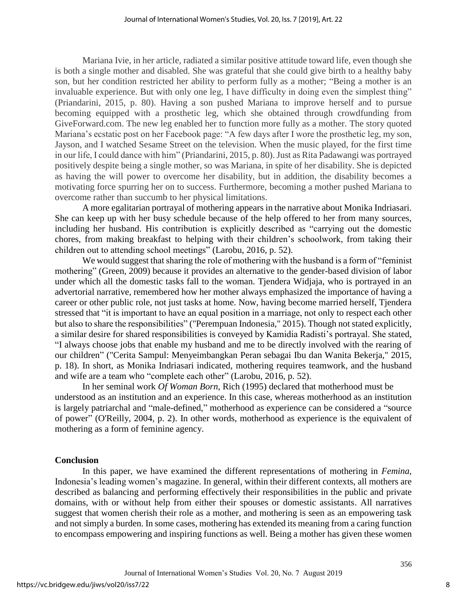Mariana Ivie, in her article, radiated a similar positive attitude toward life, even though she is both a single mother and disabled. She was grateful that she could give birth to a healthy baby son, but her condition restricted her ability to perform fully as a mother; "Being a mother is an invaluable experience. But with only one leg, I have difficulty in doing even the simplest thing" (Priandarini, 2015, p. 80). Having a son pushed Mariana to improve herself and to pursue becoming equipped with a prosthetic leg, which she obtained through crowdfunding from GiveForward.com. The new leg enabled her to function more fully as a mother. The story quoted Mariana's ecstatic post on her Facebook page: "A few days after I wore the prosthetic leg, my son, Jayson, and I watched Sesame Street on the television. When the music played, for the first time in our life, I could dance with him" (Priandarini, 2015, p. 80). Just as Rita Padawangi was portrayed positively despite being a single mother, so was Mariana, in spite of her disability. She is depicted as having the will power to overcome her disability, but in addition, the disability becomes a motivating force spurring her on to success. Furthermore, becoming a mother pushed Mariana to overcome rather than succumb to her physical limitations.

A more egalitarian portrayal of mothering appears in the narrative about Monika Indriasari. She can keep up with her busy schedule because of the help offered to her from many sources, including her husband. His contribution is explicitly described as "carrying out the domestic chores, from making breakfast to helping with their children's schoolwork, from taking their children out to attending school meetings" (Larobu, 2016, p. 52).

We would suggest that sharing the role of mothering with the husband is a form of "feminist" mothering" (Green, 2009) because it provides an alternative to the gender-based division of labor under which all the domestic tasks fall to the woman. Tjendera Widjaja, who is portrayed in an advertorial narrative, remembered how her mother always emphasized the importance of having a career or other public role, not just tasks at home. Now, having become married herself, Tjendera stressed that "it is important to have an equal position in a marriage, not only to respect each other but also to share the responsibilities" ("Perempuan Indonesia," 2015). Though not stated explicitly, a similar desire for shared responsibilities is conveyed by Kamidia Radisti's portrayal. She stated, "I always choose jobs that enable my husband and me to be directly involved with the rearing of our children" ("Cerita Sampul: Menyeimbangkan Peran sebagai Ibu dan Wanita Bekerja," 2015, p. 18). In short, as Monika Indriasari indicated, mothering requires teamwork, and the husband and wife are a team who "complete each other" (Larobu, 2016, p. 52).

In her seminal work *Of Woman Born*, Rich (1995) declared that motherhood must be understood as an institution and an experience. In this case, whereas motherhood as an institution is largely patriarchal and "male-defined," motherhood as experience can be considered a "source of power" (O'Reilly, 2004, p. 2). In other words, motherhood as experience is the equivalent of mothering as a form of feminine agency.

## **Conclusion**

In this paper, we have examined the different representations of mothering in *Femina*, Indonesia's leading women's magazine. In general, within their different contexts, all mothers are described as balancing and performing effectively their responsibilities in the public and private domains, with or without help from either their spouses or domestic assistants. All narratives suggest that women cherish their role as a mother, and mothering is seen as an empowering task and not simply a burden. In some cases, mothering has extended its meaning from a caring function to encompass empowering and inspiring functions as well. Being a mother has given these women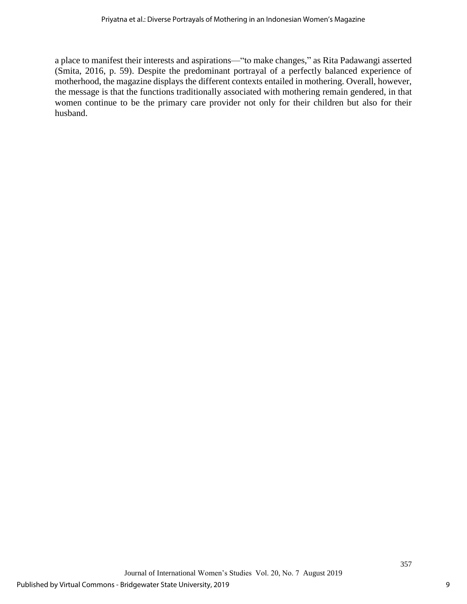a place to manifest their interests and aspirations—"to make changes," as Rita Padawangi asserted (Smita, 2016, p. 59). Despite the predominant portrayal of a perfectly balanced experience of motherhood, the magazine displays the different contexts entailed in mothering. Overall, however, the message is that the functions traditionally associated with mothering remain gendered, in that women continue to be the primary care provider not only for their children but also for their husband.